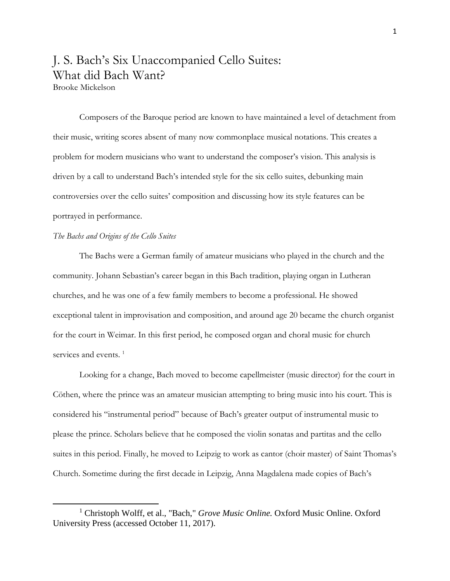# J. S. Bach's Six Unaccompanied Cello Suites: What did Bach Want?

Brooke Mickelson

Composers of the Baroque period are known to have maintained a level of detachment from their music, writing scores absent of many now commonplace musical notations. This creates a problem for modern musicians who want to understand the composer's vision. This analysis is driven by a call to understand Bach's intended style for the six cello suites, debunking main controversies over the cello suites' composition and discussing how its style features can be portrayed in performance.

#### *The Bachs and Origins of the Cello Suites*

l

The Bachs were a German family of amateur musicians who played in the church and the community. Johann Sebastian's career began in this Bach tradition, playing organ in Lutheran churches, and he was one of a few family members to become a professional. He showed exceptional talent in improvisation and composition, and around age 20 became the church organist for the court in Weimar. In this first period, he composed organ and choral music for church services and events.<sup>1</sup>

Looking for a change, Bach moved to become capellmeister (music director) for the court in Cöthen, where the prince was an amateur musician attempting to bring music into his court. This is considered his "instrumental period" because of Bach's greater output of instrumental music to please the prince. Scholars believe that he composed the violin sonatas and partitas and the cello suites in this period. Finally, he moved to Leipzig to work as cantor (choir master) of Saint Thomas's Church. Sometime during the first decade in Leipzig, Anna Magdalena made copies of Bach's

<sup>1</sup> Christoph Wolff, et al., "Bach," *Grove Music Online.* Oxford Music Online. Oxford University Press (accessed October 11, 2017).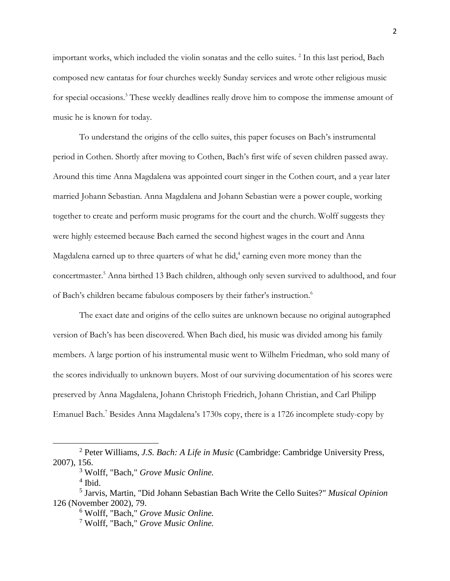important works, which included the violin sonatas and the cello suites.  $\frac{2}{3}$  In this last period, Bach composed new cantatas for four churches weekly Sunday services and wrote other religious music for special occasions.<sup>3</sup> These weekly deadlines really drove him to compose the immense amount of music he is known for today.

To understand the origins of the cello suites, this paper focuses on Bach's instrumental period in Cothen. Shortly after moving to Cothen, Bach's first wife of seven children passed away. Around this time Anna Magdalena was appointed court singer in the Cothen court, and a year later married Johann Sebastian. Anna Magdalena and Johann Sebastian were a power couple, working together to create and perform music programs for the court and the church. Wolff suggests they were highly esteemed because Bach earned the second highest wages in the court and Anna Magdalena earned up to three quarters of what he did,<sup>4</sup> earning even more money than the concertmaster. <sup>5</sup> Anna birthed 13 Bach children, although only seven survived to adulthood, and four of Bach's children became fabulous composers by their father's instruction.<sup>6</sup>

The exact date and origins of the cello suites are unknown because no original autographed version of Bach's has been discovered. When Bach died, his music was divided among his family members. A large portion of his instrumental music went to Wilhelm Friedman, who sold many of the scores individually to unknown buyers. Most of our surviving documentation of his scores were preserved by Anna Magdalena, Johann Christoph Friedrich, Johann Christian, and Carl Philipp Emanuel Bach.<sup>7</sup> Besides Anna Magdalena's 1730s copy, there is a 1726 incomplete study-copy by

<sup>4</sup> Ibid.

<sup>2</sup> Peter Williams, *J.S. Bach: A Life in Music* (Cambridge: Cambridge University Press, 2007), 156.

<sup>3</sup> Wolff, "Bach," *Grove Music Online.*

<sup>5</sup> Jarvis, Martin, "Did Johann Sebastian Bach Write the Cello Suites?" *Musical Opinion* 126 (November 2002), 79.

<sup>6</sup> Wolff, "Bach," *Grove Music Online.*

<sup>7</sup> Wolff, "Bach," *Grove Music Online.*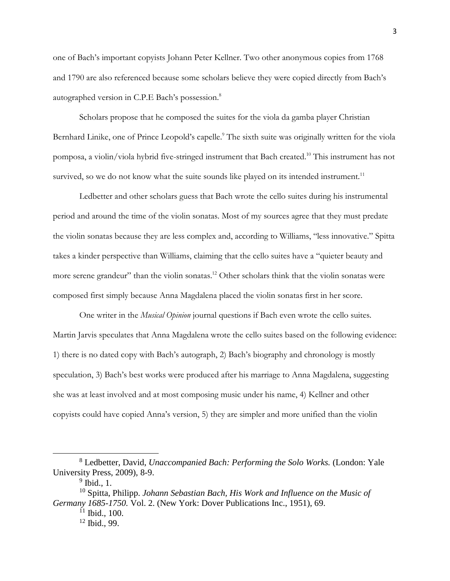one of Bach's important copyists Johann Peter Kellner. Two other anonymous copies from 1768 and 1790 are also referenced because some scholars believe they were copied directly from Bach's autographed version in C.P.E Bach's possession.8

Scholars propose that he composed the suites for the viola da gamba player Christian Bernhard Linike, one of Prince Leopold's capelle.<sup>9</sup> The sixth suite was originally written for the viola pomposa, a violin/viola hybrid five-stringed instrument that Bach created. <sup>10</sup> This instrument has not survived, so we do not know what the suite sounds like played on its intended instrument.<sup>11</sup>

Ledbetter and other scholars guess that Bach wrote the cello suites during his instrumental period and around the time of the violin sonatas. Most of my sources agree that they must predate the violin sonatas because they are less complex and, according to Williams, "less innovative." Spitta takes a kinder perspective than Williams, claiming that the cello suites have a "quieter beauty and more serene grandeur" than the violin sonatas.<sup>12</sup> Other scholars think that the violin sonatas were composed first simply because Anna Magdalena placed the violin sonatas first in her score.

One writer in the *Musical Opinion* journal questions if Bach even wrote the cello suites. Martin Jarvis speculates that Anna Magdalena wrote the cello suites based on the following evidence: 1) there is no dated copy with Bach's autograph, 2) Bach's biography and chronology is mostly speculation, 3) Bach's best works were produced after his marriage to Anna Magdalena, suggesting she was at least involved and at most composing music under his name, 4) Kellner and other copyists could have copied Anna's version, 5) they are simpler and more unified than the violin

<sup>8</sup> Ledbetter, David, *Unaccompanied Bach: Performing the Solo Works.* (London: Yale University Press, 2009), 8-9.

 $<sup>9</sup>$  Ibid., 1.</sup>

<sup>10</sup> Spitta, Philipp. *Johann Sebastian Bach, His Work and Influence on the Music of Germany 1685-1750.* Vol. 2. (New York: Dover Publications Inc., 1951), 69.

 $11$  Ibid., 100.

<sup>12</sup> Ibid., 99.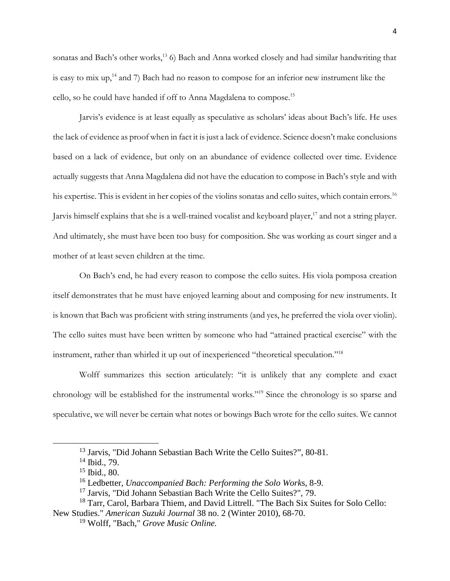sonatas and Bach's other works,<sup>13</sup> 6) Bach and Anna worked closely and had similar handwriting that is easy to mix up,<sup>14</sup> and 7) Bach had no reason to compose for an inferior new instrument like the cello, so he could have handed if off to Anna Magdalena to compose.<sup>15</sup>

Jarvis's evidence is at least equally as speculative as scholars' ideas about Bach's life. He uses the lack of evidence as proof when in fact it is just a lack of evidence. Science doesn't make conclusions based on a lack of evidence, but only on an abundance of evidence collected over time. Evidence actually suggests that Anna Magdalena did not have the education to compose in Bach's style and with his expertise. This is evident in her copies of the violins sonatas and cello suites, which contain errors. 16 Jarvis himself explains that she is a well-trained vocalist and keyboard player,<sup>17</sup> and not a string player. And ultimately, she must have been too busy for composition. She was working as court singer and a mother of at least seven children at the time.

On Bach's end, he had every reason to compose the cello suites. His viola pomposa creation itself demonstrates that he must have enjoyed learning about and composing for new instruments. It is known that Bach was proficient with string instruments (and yes, he preferred the viola over violin). The cello suites must have been written by someone who had "attained practical exercise" with the instrument, rather than whirled it up out of inexperienced "theoretical speculation."18

Wolff summarizes this section articulately: "it is unlikely that any complete and exact chronology will be established for the instrumental works."19 Since the chronology is so sparse and speculative, we will never be certain what notes or bowings Bach wrote for the cello suites. We cannot

<sup>13</sup> Jarvis, "Did Johann Sebastian Bach Write the Cello Suites?", 80-81.

<sup>14</sup> Ibid., 79.

<sup>15</sup> Ibid., 80.

<sup>16</sup> Ledbetter, *Unaccompanied Bach: Performing the Solo Work*s, 8-9.

 $17$  Jarvis, "Did Johann Sebastian Bach Write the Cello Suites?", 79.

<sup>&</sup>lt;sup>18</sup> Tarr, Carol, Barbara Thiem, and David Littrell. "The Bach Six Suites for Solo Cello: New Studies." *American Suzuki Journal* 38 no. 2 (Winter 2010), 68-70.

<sup>19</sup> Wolff, "Bach," *Grove Music Online.*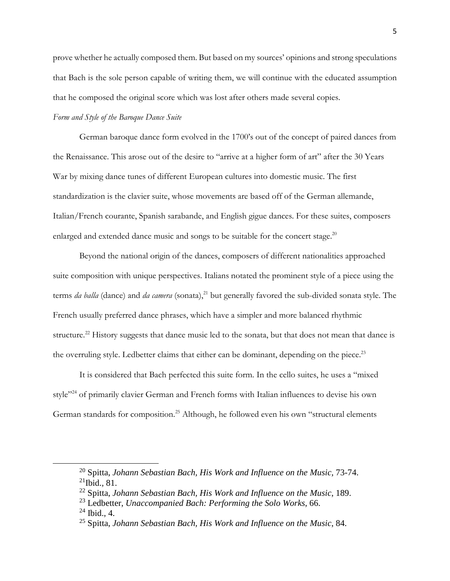prove whether he actually composed them. But based on my sources' opinions and strong speculations that Bach is the sole person capable of writing them, we will continue with the educated assumption that he composed the original score which was lost after others made several copies.

### *Form and Style of the Baroque Dance Suite*

German baroque dance form evolved in the 1700's out of the concept of paired dances from the Renaissance. This arose out of the desire to "arrive at a higher form of art" after the 30 Years War by mixing dance tunes of different European cultures into domestic music. The first standardization is the clavier suite, whose movements are based off of the German allemande, Italian/French courante, Spanish sarabande, and English gigue dances. For these suites, composers enlarged and extended dance music and songs to be suitable for the concert stage.<sup>20</sup>

Beyond the national origin of the dances, composers of different nationalities approached suite composition with unique perspectives. Italians notated the prominent style of a piece using the terms *da balla* (dance) and *da camera* (sonata), <sup>21</sup> but generally favored the sub-divided sonata style. The French usually preferred dance phrases, which have a simpler and more balanced rhythmic structure.<sup>22</sup> History suggests that dance music led to the sonata, but that does not mean that dance is the overruling style. Ledbetter claims that either can be dominant, depending on the piece.<sup>23</sup>

It is considered that Bach perfected this suite form. In the cello suites, he uses a "mixed style"<sup>24</sup> of primarily clavier German and French forms with Italian influences to devise his own German standards for composition. <sup>25</sup> Although, he followed even his own "structural elements

<sup>20</sup> Spitta, *Johann Sebastian Bach, His Work and Influence on the Music,* 73-74. 21Ibid.*,* 81.

<sup>22</sup> Spitta, *Johann Sebastian Bach, His Work and Influence on the Music*, 189.

<sup>23</sup> Ledbetter, *Unaccompanied Bach: Performing the Solo Works*, 66.

 $24$  Ibid., 4.

<sup>25</sup> Spitta, *Johann Sebastian Bach, His Work and Influence on the Music*, 84.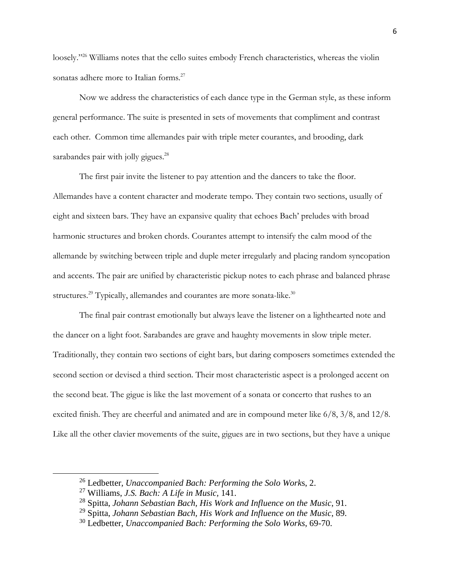loosely."26 Williams notes that the cello suites embody French characteristics, whereas the violin sonatas adhere more to Italian forms.<sup>27</sup>

Now we address the characteristics of each dance type in the German style, as these inform general performance. The suite is presented in sets of movements that compliment and contrast each other. Common time allemandes pair with triple meter courantes, and brooding, dark sarabandes pair with jolly gigues.<sup>28</sup>

The first pair invite the listener to pay attention and the dancers to take the floor. Allemandes have a content character and moderate tempo. They contain two sections, usually of eight and sixteen bars. They have an expansive quality that echoes Bach' preludes with broad harmonic structures and broken chords. Courantes attempt to intensify the calm mood of the allemande by switching between triple and duple meter irregularly and placing random syncopation and accents. The pair are unified by characteristic pickup notes to each phrase and balanced phrase structures.<sup>29</sup> Typically, allemandes and courantes are more sonata-like.<sup>30</sup>

The final pair contrast emotionally but always leave the listener on a lighthearted note and the dancer on a light foot. Sarabandes are grave and haughty movements in slow triple meter. Traditionally, they contain two sections of eight bars, but daring composers sometimes extended the second section or devised a third section. Their most characteristic aspect is a prolonged accent on the second beat. The gigue is like the last movement of a sonata or concerto that rushes to an excited finish. They are cheerful and animated and are in compound meter like 6/8, 3/8, and 12/8. Like all the other clavier movements of the suite, gigues are in two sections, but they have a unique

 $\overline{a}$ 

<sup>26</sup> Ledbetter, *Unaccompanied Bach: Performing the Solo Work*s, 2.

<sup>27</sup> Williams, *J.S. Bach: A Life in Music,* 141.

<sup>28</sup> Spitta, *Johann Sebastian Bach, His Work and Influence on the Music*, 91.

<sup>29</sup> Spitta, *Johann Sebastian Bach, His Work and Influence on the Music*, 89.

<sup>30</sup> Ledbetter, *Unaccompanied Bach: Performing the Solo Works*, 69-70.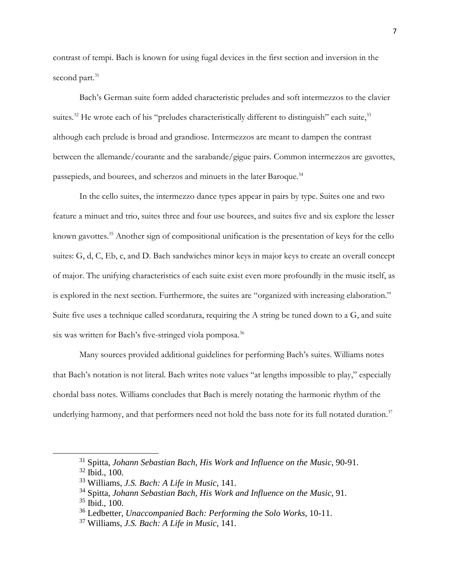contrast of tempi. Bach is known for using fugal devices in the first section and inversion in the second part.<sup>31</sup>

Bach's German suite form added characteristic preludes and soft intermezzos to the clavier suites.<sup>32</sup> He wrote each of his "preludes characteristically different to distinguish" each suite,<sup>33</sup> although each prelude is broad and grandiose. Intermezzos are meant to dampen the contrast between the allemande/courante and the sarabande/gigue pairs. Common intermezzos are gavottes, passepieds, and bourees, and scherzos and minuets in the later Baroque.<sup>34</sup>

In the cello suites, the intermezzo dance types appear in pairs by type. Suites one and two feature a minuet and trio, suites three and four use bourees, and suites five and six explore the lesser known gavottes.<sup>35</sup> Another sign of compositional unification is the presentation of keys for the cello suites: G, d, C, Eb, c, and D. Bach sandwiches minor keys in major keys to create an overall concept of major. The unifying characteristics of each suite exist even more profoundly in the music itself, as is explored in the next section. Furthermore, the suites are "organized with increasing elaboration." Suite five uses a technique called scordatura, requiring the A string be tuned down to a G, and suite six was written for Bach's five-stringed viola pomposa.<sup>36</sup>

Many sources provided additional guidelines for performing Bach's suites. Williams notes that Bach's notation is not literal. Bach writes note values "at lengths impossible to play," especially chordal bass notes. Williams concludes that Bach is merely notating the harmonic rhythm of the underlying harmony, and that performers need not hold the bass note for its full notated duration.<sup>37</sup>

<sup>31</sup> Spitta, *Johann Sebastian Bach, His Work and Influence on the Music*, 90-91.

<sup>32</sup> Ibid., 100.

<sup>33</sup> Williams, *J.S. Bach: A Life in Music,* 141.

<sup>34</sup> Spitta, *Johann Sebastian Bach, His Work and Influence on the Music*, 91.

 $35$  Ibid., 100.

<sup>36</sup> Ledbetter, *Unaccompanied Bach: Performing the Solo Works*, 10-11.

<sup>37</sup> Williams, *J.S. Bach: A Life in Music,* 141.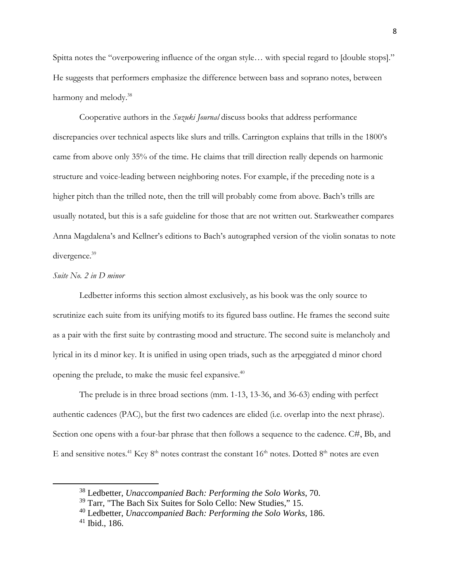Spitta notes the "overpowering influence of the organ style… with special regard to [double stops]." He suggests that performers emphasize the difference between bass and soprano notes, between harmony and melody.<sup>38</sup>

Cooperative authors in the *Suzuki Journal* discuss books that address performance discrepancies over technical aspects like slurs and trills. Carrington explains that trills in the 1800's came from above only 35% of the time. He claims that trill direction really depends on harmonic structure and voice-leading between neighboring notes. For example, if the preceding note is a higher pitch than the trilled note, then the trill will probably come from above. Bach's trills are usually notated, but this is a safe guideline for those that are not written out. Starkweather compares Anna Magdalena's and Kellner's editions to Bach's autographed version of the violin sonatas to note divergence. 39

## *Suite No. 2 in D minor*

Ledbetter informs this section almost exclusively, as his book was the only source to scrutinize each suite from its unifying motifs to its figured bass outline. He frames the second suite as a pair with the first suite by contrasting mood and structure. The second suite is melancholy and lyrical in its d minor key. It is unified in using open triads, such as the arpeggiated d minor chord opening the prelude, to make the music feel expansive.40

The prelude is in three broad sections (mm. 1-13, 13-36, and 36-63) ending with perfect authentic cadences (PAC), but the first two cadences are elided (i.e. overlap into the next phrase). Section one opens with a four-bar phrase that then follows a sequence to the cadence. C#, Bb, and E and sensitive notes.<sup>41</sup> Key  $8<sup>th</sup>$  notes contrast the constant  $16<sup>th</sup>$  notes. Dotted  $8<sup>th</sup>$  notes are even

<sup>38</sup> Ledbetter, *Unaccompanied Bach: Performing the Solo Works*, 70.

<sup>39</sup> Tarr, "The Bach Six Suites for Solo Cello: New Studies," 15.

<sup>40</sup> Ledbetter, *Unaccompanied Bach: Performing the Solo Works,* 186.

 $41$  Ibid., 186.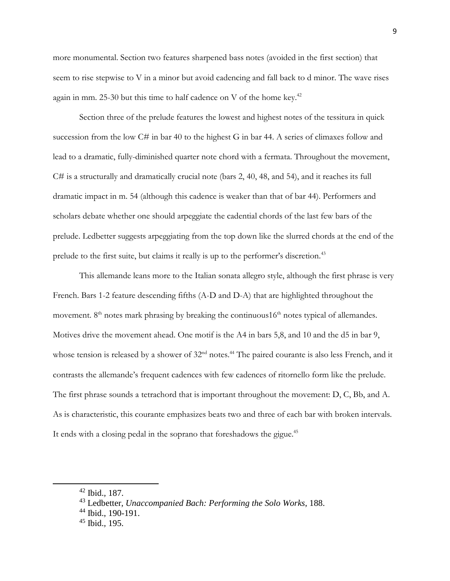more monumental. Section two features sharpened bass notes (avoided in the first section) that seem to rise stepwise to V in a minor but avoid cadencing and fall back to d minor. The wave rises again in mm. 25-30 but this time to half cadence on V of the home key.<sup>42</sup>

Section three of the prelude features the lowest and highest notes of the tessitura in quick succession from the low C# in bar 40 to the highest G in bar 44. A series of climaxes follow and lead to a dramatic, fully-diminished quarter note chord with a fermata. Throughout the movement, C# is a structurally and dramatically crucial note (bars 2, 40, 48, and 54), and it reaches its full dramatic impact in m. 54 (although this cadence is weaker than that of bar 44). Performers and scholars debate whether one should arpeggiate the cadential chords of the last few bars of the prelude. Ledbetter suggests arpeggiating from the top down like the slurred chords at the end of the prelude to the first suite, but claims it really is up to the performer's discretion.<sup>43</sup>

This allemande leans more to the Italian sonata allegro style, although the first phrase is very French. Bars 1-2 feature descending fifths (A-D and D-A) that are highlighted throughout the movement.  $8<sup>th</sup>$  notes mark phrasing by breaking the continuous  $16<sup>th</sup>$  notes typical of allemandes. Motives drive the movement ahead. One motif is the A4 in bars 5,8, and 10 and the d5 in bar 9, whose tension is released by a shower of  $32<sup>nd</sup>$  notes.<sup>44</sup> The paired courante is also less French, and it contrasts the allemande's frequent cadences with few cadences of ritornello form like the prelude. The first phrase sounds a tetrachord that is important throughout the movement: D, C, Bb, and A. As is characteristic, this courante emphasizes beats two and three of each bar with broken intervals. It ends with a closing pedal in the soprano that foreshadows the gigue.<sup>45</sup>

<sup>42</sup> Ibid.*,* 187.

<sup>43</sup> Ledbetter, *Unaccompanied Bach: Performing the Solo Works*, 188.

<sup>44</sup> Ibid., 190-191.

<sup>45</sup> Ibid.*,* 195.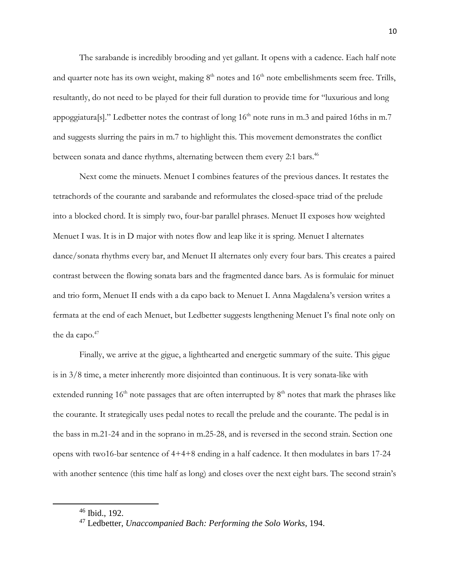The sarabande is incredibly brooding and yet gallant. It opens with a cadence. Each half note and quarter note has its own weight, making  $8<sup>th</sup>$  notes and  $16<sup>th</sup>$  note embellishments seem free. Trills, resultantly, do not need to be played for their full duration to provide time for "luxurious and long appoggiatura[s]." Ledbetter notes the contrast of long  $16<sup>th</sup>$  note runs in m.3 and paired 16ths in m.7 and suggests slurring the pairs in m.7 to highlight this. This movement demonstrates the conflict between sonata and dance rhythms, alternating between them every 2:1 bars.<sup>46</sup>

Next come the minuets. Menuet I combines features of the previous dances. It restates the tetrachords of the courante and sarabande and reformulates the closed-space triad of the prelude into a blocked chord. It is simply two, four-bar parallel phrases. Menuet II exposes how weighted Menuet I was. It is in D major with notes flow and leap like it is spring. Menuet I alternates dance/sonata rhythms every bar, and Menuet II alternates only every four bars. This creates a paired contrast between the flowing sonata bars and the fragmented dance bars. As is formulaic for minuet and trio form, Menuet II ends with a da capo back to Menuet I. Anna Magdalena's version writes a fermata at the end of each Menuet, but Ledbetter suggests lengthening Menuet I's final note only on the da capo. $47$ 

Finally, we arrive at the gigue, a lighthearted and energetic summary of the suite. This gigue is in 3/8 time, a meter inherently more disjointed than continuous. It is very sonata-like with extended running  $16<sup>th</sup>$  note passages that are often interrupted by  $8<sup>th</sup>$  notes that mark the phrases like the courante. It strategically uses pedal notes to recall the prelude and the courante. The pedal is in the bass in m.21-24 and in the soprano in m.25-28, and is reversed in the second strain. Section one opens with two16-bar sentence of 4+4+8 ending in a half cadence. It then modulates in bars 17-24 with another sentence (this time half as long) and closes over the next eight bars. The second strain's

<sup>46</sup> Ibid., 192.

<sup>47</sup> Ledbetter, *Unaccompanied Bach: Performing the Solo Works*, 194.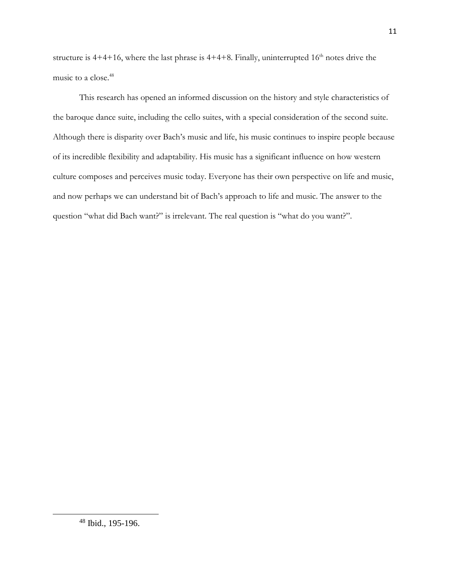structure is  $4+4+16$ , where the last phrase is  $4+4+8$ . Finally, uninterrupted  $16<sup>th</sup>$  notes drive the music to a close.<sup>48</sup>

This research has opened an informed discussion on the history and style characteristics of the baroque dance suite, including the cello suites, with a special consideration of the second suite. Although there is disparity over Bach's music and life, his music continues to inspire people because of its incredible flexibility and adaptability. His music has a significant influence on how western culture composes and perceives music today. Everyone has their own perspective on life and music, and now perhaps we can understand bit of Bach's approach to life and music. The answer to the question "what did Bach want?" is irrelevant. The real question is "what do you want?".

<sup>48</sup> Ibid., 195-196.